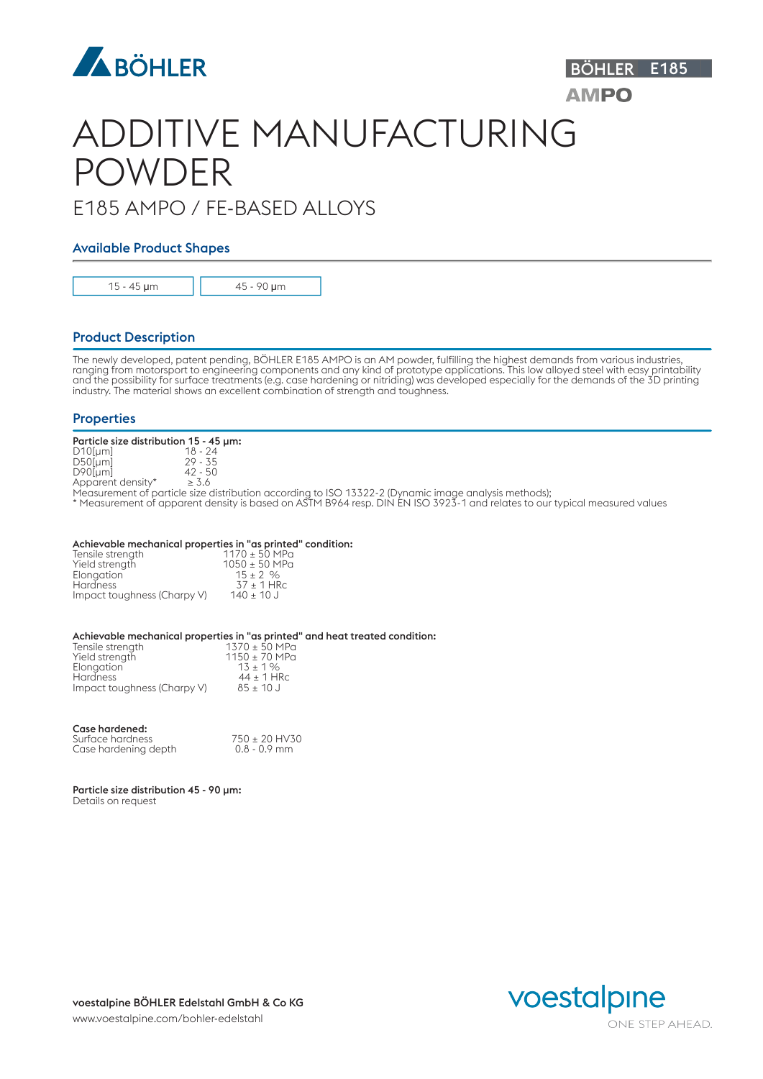

# ADDITIVE MANUFACTURING POWDER

## E185 AMPO / FE-BASED ALLOYS

## Available Product Shapes

15 - 45 μm 45 - 90 μm

## Product Description

The newly developed, patent pending, BÖHLER E185 AMPO is an AM powder, fulfilling the highest demands from various industries, ranging from motorsport to engineering components and any kind of prototype applications. This low alloyed steel with easy printability and the possibility for surface treatments (e.g. case hardening or nitriding) was developed especially for the demands of the 3D printing industry. The material shows an excellent combination of strength and toughness.

### **Properties**

| Particle size distribution 15 - 45 um: |                                                                                                  |  |
|----------------------------------------|--------------------------------------------------------------------------------------------------|--|
| $D10$ [µm]                             | $18 - 24$                                                                                        |  |
| $D50$ [µm]                             | $29 - 35$                                                                                        |  |
| $D90$ [µm]                             | $42 - 50$                                                                                        |  |
| Apparent density*                      | $\geq 3.6$                                                                                       |  |
|                                        | $M_{\rm{max}}$ and $M_{\rm{max}}$ is the state of the distribution of the state $1000.47700.000$ |  |

Measurement of particle size distribution according to ISO 13322-2 (Dynamic image analysis methods);

\* Measurement of apparent density is based on ASTM B964 resp. DIN EN ISO 3923-1 and relates to our typical measured values

#### Achievable mechanical properties in "as printed" condition:

| Tensile strength            | $1170 \pm 50$ MPa |  |
|-----------------------------|-------------------|--|
| Yield strength              | $1050 \pm 50$ MPa |  |
| Elonaation                  | $15 \pm 2 \%$     |  |
| <b>Hardness</b>             | $37 \pm 1$ HRc    |  |
| Impact toughness (Charpy V) | $140 \pm 10$ J    |  |

#### Achievable mechanical properties in "as printed" and heat treated condition:

| Tensile strength            | 1370 ± 50 MPa         |  |
|-----------------------------|-----------------------|--|
| Yield strength              | $1150 \pm 70$ MPa     |  |
| Elongation                  | $13 \pm 1\%$          |  |
| <b>Hardness</b>             | $44 \pm 1$ HRc        |  |
| Impact toughness (Charpy V) | $85 \pm 10 \text{ J}$ |  |

#### Case hardened:

| Surface hardness     | $750 \pm 20$ HV30 |
|----------------------|-------------------|
| Case hardening depth | 0.8 - 0.9 mm      |

Particle size distribution 45 - 90 µm: Details on request



BÖHLER E185

**AMPO**